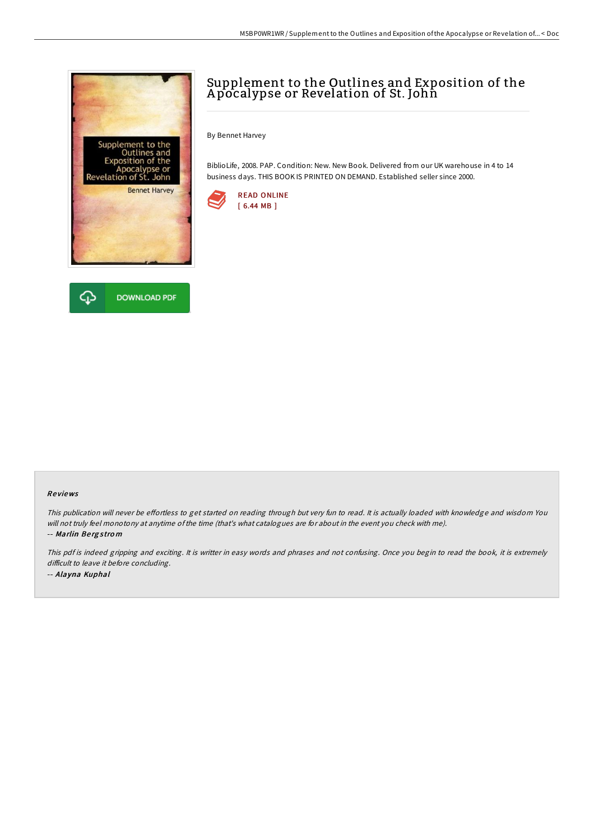



## Supplement to the Outlines and Exposition of the Apocalypse or Revelation of St. John

By Bennet Harvey

BiblioLife, 2008. PAP. Condition: New. New Book. Delivered from our UK warehouse in 4 to 14 business days. THIS BOOK IS PRINTED ON DEMAND. Established seller since 2000.



## Re views

This publication will never be effortless to get started on reading through but very fun to read. It is actually loaded with knowledge and wisdom You will not truly feel monotony at anytime ofthe time (that's what catalogues are for about in the event you check with me). -- Marlin Be rg <sup>s</sup> tro <sup>m</sup>

This pdf is indeed gripping and exciting. It is writter in easy words and phrases and not confusing. Once you begin to read the book, it is extremely difficult to leave it before concluding. -- Alayna Kuphal